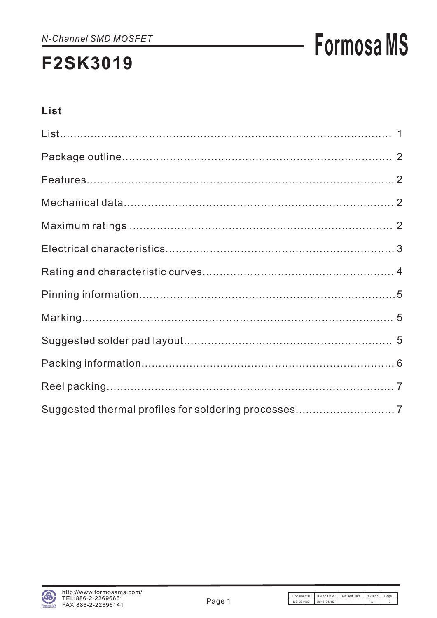# **Formosa MS**

### List

| Suggested thermal profiles for soldering processes 7 |  |
|------------------------------------------------------|--|

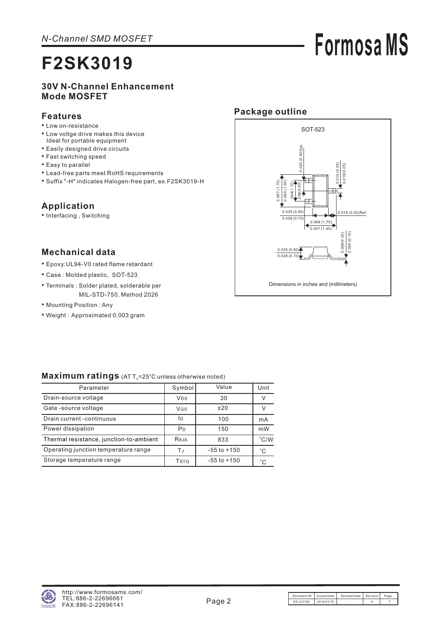# **Formosa MS**

### **30V N-Channel Enhancement Mode MOSFET**

#### **Features**

- Low on-resistance
- Low voltge drive makes this device Ideal for portable equipment
- Easily designed drive circuits
- Fast switching speed
- Easy to parallel
- Lead-free parts meet RoHS requirements
- Suffix "-H" indicates Halogen-free part, ex.F2SK3019-H

#### **Application**

• Interfacing , Switching

### **Mechanical data**

- Epoxy:UL94-V0 rated flame retardant
- Case : Molded plastic, SOT-523
- Terminals : Solder plated, solderable per MIL-STD-750, Method 2026
- Mounting Position : Any
- Weight : Approximated 0.003 gram



#### Maximum ratings (AT T<sub>A</sub>=25°C unless otherwise noted)

| Parameter                               | Symbol                  | Value           | Unit          |
|-----------------------------------------|-------------------------|-----------------|---------------|
| Drain-source voltage                    | <b>V<sub>DS</sub></b>   | 30              | $\vee$        |
| Gate-source voltage                     | VGS                     | ±20             | V             |
| Drain current -continuous               | İD                      | 100             | mA            |
| Power dissipation                       | P <sub>D</sub>          | 150             | mW            |
| Thermal resistance, junction-to-ambient | Reja                    | 833             | $\degree$ C/W |
| Operating junction temperature range    | ТJ                      | $-55$ to $+150$ | $^{\circ}$ C  |
| Storage temperature range               | <b>T</b> <sub>STG</sub> | $-55$ to $+150$ | $^{\circ}$ C  |

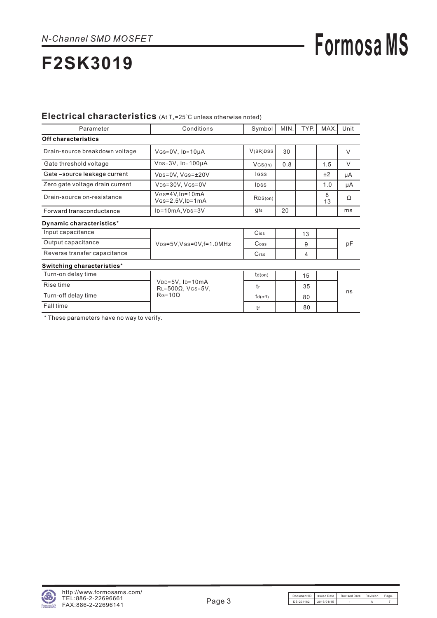## **Formosa MS**

## **F2SK3019**

#### Electrical characteristics (At T<sub>A</sub>=25°C unless otherwise noted)

| Parameter                       | Conditions                                         | Symbol                      | MIN. | TYP. | MAX.    | Unit   |
|---------------------------------|----------------------------------------------------|-----------------------------|------|------|---------|--------|
| <b>Off characteristics</b>      |                                                    |                             |      |      |         |        |
| Drain-source breakdown voltage  | $V$ GS=0V, ID=10µA                                 | V(BR)DSS                    | 30   |      |         | $\vee$ |
| Gate threshold voltage          | $VDS=3V$ , $ID=100\mu A$                           | VGS(th)                     | 0.8  |      | 1.5     | $\vee$ |
| Gate-source leakage current     | VDS=0V, VGS=±20V                                   | lgss                        |      |      | ±2      | μA     |
| Zero gate voltage drain current | VDS=30V, VGS=0V                                    | <b>IDSS</b>                 |      |      | 1.0     | μA     |
| Drain-source on-resistance      | $V$ GS=4V, ID=10mA<br>$V$ GS= $2.5V$ , ID= $1mA$   | RDS(on)                     |      |      | 8<br>13 | Ω      |
| Forward transconductance        | $I_D = 10mA, V_D = 3V$                             | gfs                         | 20   |      |         | ms     |
| Dynamic characteristics*        |                                                    |                             |      |      |         |        |
| Input capacitance               |                                                    | Ciss                        |      | 13   |         |        |
| Output capacitance              | VDS=5V, VGS=0V, f=1.0MHz                           | $\mathrm{C}$ <sub>oss</sub> |      | 9    |         | pF     |
| Reverse transfer capacitance    |                                                    | $C$ <sub>rss</sub>          |      | 4    |         |        |
| Switching characteristics*      |                                                    |                             |      |      |         |        |
| Turn-on delay time              |                                                    | $td($ on $)$                |      | 15   |         |        |
| Rise time                       | $VDD=5V$ , $ID=10mA$<br>$RL = 500\Omega$ , VGS=5V, | tr                          |      | 35   |         |        |
| Turn-off delay time             | $RG = 10\Omega$                                    | $td($ off $)$               |      | 80   |         | ns     |
| Fall time                       |                                                    | tf                          |      | 80   |         |        |

\* These parameters have no way to verify.

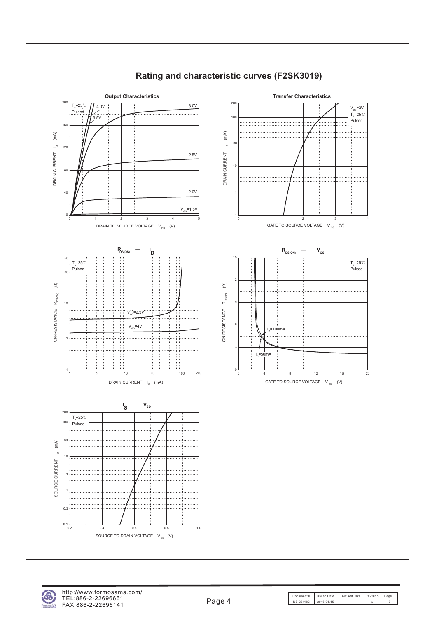

### **Rating and characteristic curves (F2SK3019)**

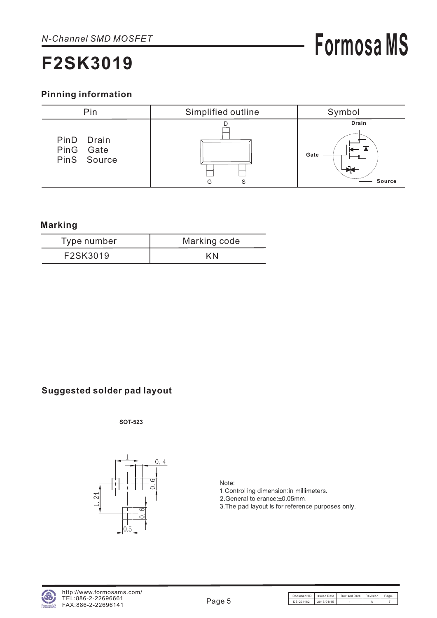# **Formosa MS**

### **Pinning information**



### **Marking**

| Type number | Marking code |  |  |  |
|-------------|--------------|--|--|--|
| F2SK3019    | ΚN           |  |  |  |

### **Suggested solder pad layout**

**SOT-523**



Note: 1. Controlling dimension: in millimeters. 2. General tolerance: ±0.05mm. 3. The pad layout is for reference purposes only.

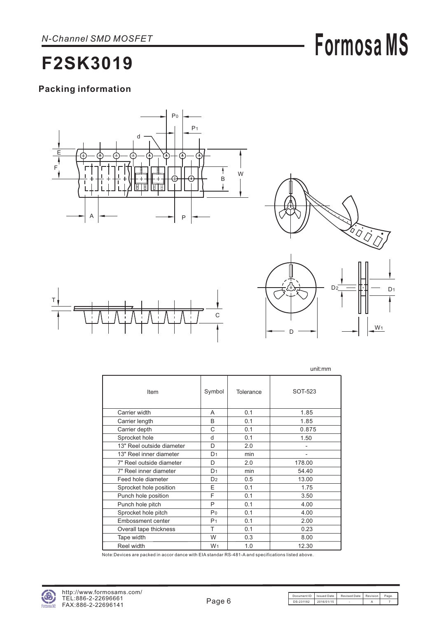# **Formosa MS**

### **F2SK3019**

### **Packing information**









unit:mm

|                           |                |           | <u>unit.nini</u>         |
|---------------------------|----------------|-----------|--------------------------|
| Item                      | Symbol         | Tolerance | SOT-523                  |
| Carrier width             | A              | 0.1       | 1.85                     |
| Carrier length            | B              | 0.1       | 1.85                     |
| Carrier depth             | C              | 0.1       | 0.875                    |
| Sprocket hole             | d              | 0.1       | 1.50                     |
| 13" Reel outside diameter | D              | 2.0       |                          |
| 13" Reel inner diameter   | D <sub>1</sub> | min       | $\overline{\phantom{0}}$ |
| 7" Reel outside diameter  | D              | 2.0       | 178.00                   |
| 7" Reel inner diameter    | D <sub>1</sub> | min       | 54.40                    |
| Feed hole diameter        | D <sub>2</sub> | 0.5       | 13.00                    |
| Sprocket hole position    | E              | 0.1       | 1.75                     |
| Punch hole position       | F              | 0.1       | 3.50                     |
| Punch hole pitch          | P              | 0.1       | 4.00                     |
| Sprocket hole pitch       | P <sub>0</sub> | 0.1       | 4.00                     |
| Embossment center         | P <sub>1</sub> | 0.1       | 2.00                     |
| Overall tape thickness    | T              | 0.1       | 0.23                     |
| Tape width                | W              | 0.3       | 8.00                     |
| Reel width                | W <sub>1</sub> | 1.0       | 12.30                    |

Note:Devices are packed in accor dance with EIA standar RS-481-A and specifications listed above.